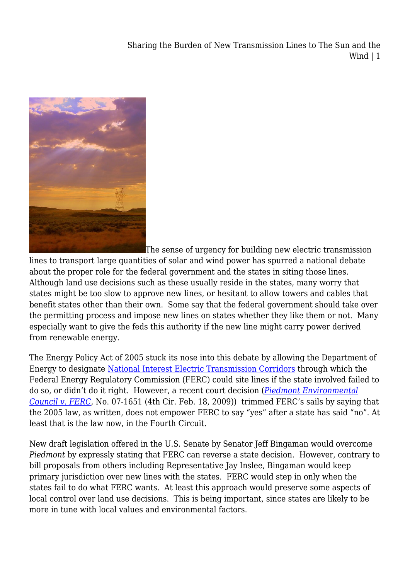Sharing the Burden of New Transmission Lines to The Sun and the Wind | 1



The sense of urgency for building new electric transmission

lines to transport large quantities of solar and wind power has spurred a national debate about the proper role for the federal government and the states in siting those lines. Although land use decisions such as these usually reside in the states, many worry that states might be too slow to approve new lines, or hesitant to allow towers and cables that benefit states other than their own. Some say that the federal government should take over the permitting process and impose new lines on states whether they like them or not. Many especially want to give the feds this authority if the new line might carry power derived from renewable energy.

The Energy Policy Act of 2005 stuck its nose into this debate by allowing the Department of Energy to designate [National Interest Electric Transmission Corridors](http://nietc.anl.gov/) through which the Federal Energy Regulatory Commission (FERC) could site lines if the state involved failed to do so, or didn't do it right. However, a recent court decision (*[Piedmont Environmental](http://pacer.ca4.uscourts.gov/opinion.pdf/071651.P.pdf) [Council v. FERC](http://pacer.ca4.uscourts.gov/opinion.pdf/071651.P.pdf)*, No. 07-1651 (4th Cir. Feb. 18, 2009)) trimmed FERC's sails by saying that the 2005 law, as written, does not empower FERC to say "yes" after a state has said "no". At least that is the law now, in the Fourth Circuit.

New draft legislation offered in the U.S. Senate by Senator Jeff Bingaman would overcome *Piedmont* by expressly stating that FERC can reverse a state decision. However, contrary to bill proposals from others including Representative Jay Inslee, Bingaman would keep primary jurisdiction over new lines with the states. FERC would step in only when the states fail to do what FERC wants. At least this approach would preserve some aspects of local control over land use decisions. This is being important, since states are likely to be more in tune with local values and environmental factors.